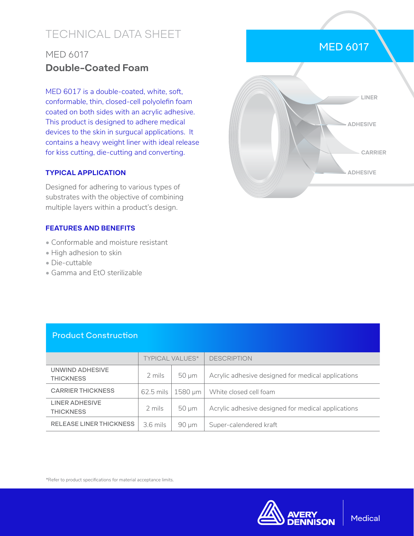# TECHNICAL DATA SHEET

## MED 6017 **Double-Coated Foam**

MED 6017 is a double-coated, white, soft, conformable, thin, closed-cell polyolefin foam coated on both sides with an acrylic adhesive. This product is designed to adhere medical devices to the skin in surgucal applications. It contains a heavy weight liner with ideal release for kiss cutting, die-cutting and converting.

### **TYPICAL APPLICATION**

Designed for adhering to various types of substrates with the objective of combining multiple layers within a product's design.

### **FEATURES AND BENEFITS**

- Conformable and moisture resistant
- High adhesion to skin
- Die-cuttable
- Gamma and EtO sterilizable



## Product Construction

|                                     | <b>TYPICAL VALUES*</b> |              | <b>DESCRIPTION</b>                                 |
|-------------------------------------|------------------------|--------------|----------------------------------------------------|
| UNWIND ADHESIVE<br><b>THICKNESS</b> | 2 mils                 | $50 \mu m$   | Acrylic adhesive designed for medical applications |
| <b>CARRIER THICKNESS</b>            | $62.5$ mils            | $1580 \mu m$ | White closed cell foam                             |
| LINER ADHESIVE<br><b>THICKNESS</b>  | 2 mils                 | $50 \mu m$   | Acrylic adhesive designed for medical applications |
| <b>RELEASE LINER THICKNESS</b>      | $3.6$ mils             | $90 \mu m$   | Super-calendered kraft                             |